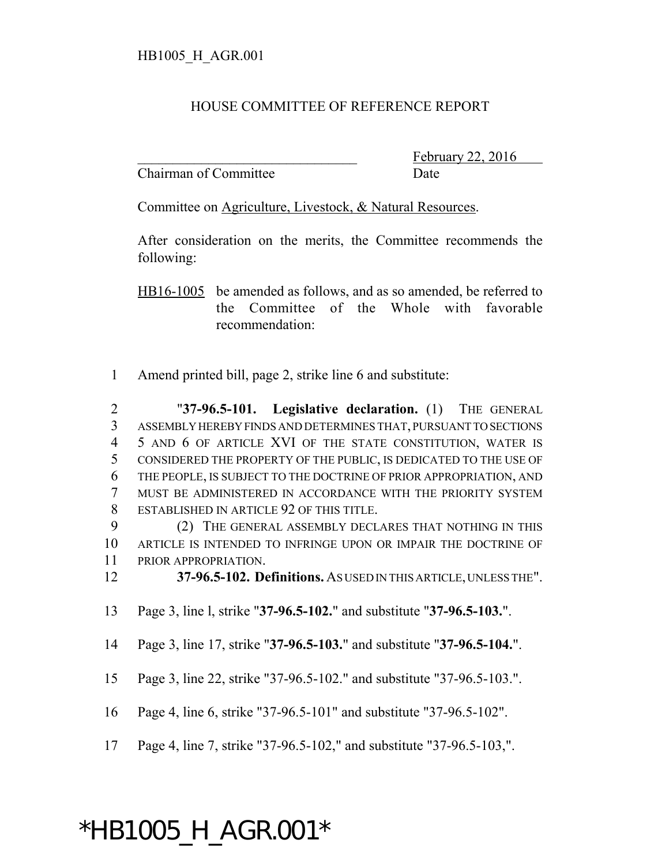## HOUSE COMMITTEE OF REFERENCE REPORT

Chairman of Committee Date

February 22, 2016

Committee on Agriculture, Livestock, & Natural Resources.

After consideration on the merits, the Committee recommends the following:

HB16-1005 be amended as follows, and as so amended, be referred to the Committee of the Whole with favorable recommendation:

Amend printed bill, page 2, strike line 6 and substitute:

 "**37-96.5-101. Legislative declaration.** (1) THE GENERAL ASSEMBLY HEREBY FINDS AND DETERMINES THAT, PURSUANT TO SECTIONS 5 AND 6 OF ARTICLE XVI OF THE STATE CONSTITUTION, WATER IS CONSIDERED THE PROPERTY OF THE PUBLIC, IS DEDICATED TO THE USE OF THE PEOPLE, IS SUBJECT TO THE DOCTRINE OF PRIOR APPROPRIATION, AND MUST BE ADMINISTERED IN ACCORDANCE WITH THE PRIORITY SYSTEM ESTABLISHED IN ARTICLE 92 OF THIS TITLE.

 (2) THE GENERAL ASSEMBLY DECLARES THAT NOTHING IN THIS ARTICLE IS INTENDED TO INFRINGE UPON OR IMPAIR THE DOCTRINE OF PRIOR APPROPRIATION.

**37-96.5-102. Definitions.** AS USED IN THIS ARTICLE, UNLESS THE".

- Page 3, line l, strike "**37-96.5-102.**" and substitute "**37-96.5-103.**".
- Page 3, line 17, strike "**37-96.5-103.**" and substitute "**37-96.5-104.**".
- Page 3, line 22, strike "37-96.5-102." and substitute "37-96.5-103.".

Page 4, line 6, strike "37-96.5-101" and substitute "37-96.5-102".

Page 4, line 7, strike "37-96.5-102," and substitute "37-96.5-103,".

## \*HB1005\_H\_AGR.001\*